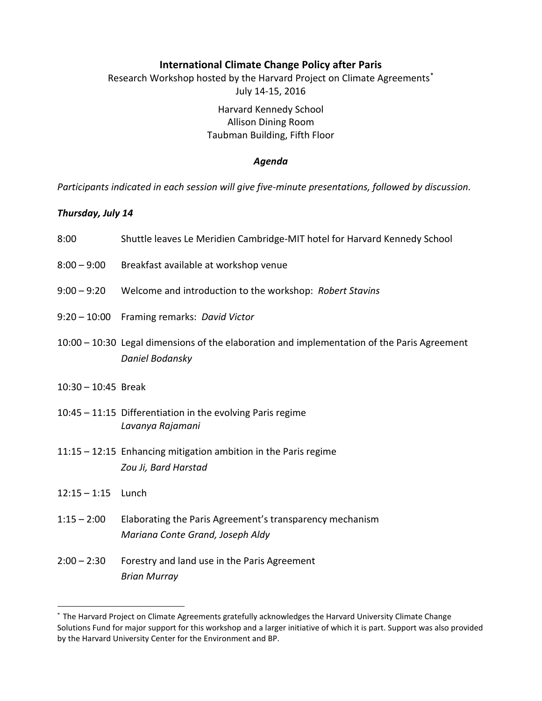# **International Climate Change Policy after Paris**

Research Workshop hosted by the Harvard Project on Climate Agreements[\\*](#page-0-0) July 14-15, 2016

# Harvard Kennedy School Allison Dining Room Taubman Building, Fifth Floor

#### *Agenda*

*Participants indicated in each session will give five-minute presentations, followed by discussion.*

### *Thursday, July 14*

| 8:00                  | Shuttle leaves Le Meridien Cambridge-MIT hotel for Harvard Kennedy School                                        |
|-----------------------|------------------------------------------------------------------------------------------------------------------|
| $8:00 - 9:00$         | Breakfast available at workshop venue                                                                            |
| $9:00 - 9:20$         | Welcome and introduction to the workshop: Robert Stavins                                                         |
|                       | 9:20 - 10:00 Framing remarks: David Victor                                                                       |
|                       | $10:00 - 10:30$ Legal dimensions of the elaboration and implementation of the Paris Agreement<br>Daniel Bodansky |
| $10:30 - 10:45$ Break |                                                                                                                  |
|                       | $10:45 - 11:15$ Differentiation in the evolving Paris regime<br>Lavanya Rajamani                                 |
|                       | $11:15 - 12:15$ Enhancing mitigation ambition in the Paris regime<br>Zou Ji, Bard Harstad                        |

12:15 – 1:15 Lunch

 $\overline{a}$ 

- 1:15 2:00 Elaborating the Paris Agreement's transparency mechanism *Mariana Conte Grand, Joseph Aldy*
- 2:00 2:30 Forestry and land use in the Paris Agreement *Brian Murray*

<span id="page-0-0"></span><sup>\*</sup> The Harvard Project on Climate Agreements gratefully acknowledges the Harvard University Climate Change Solutions Fund for major support for this workshop and a larger initiative of which it is part. Support was also provided by the Harvard University Center for the Environment and BP.